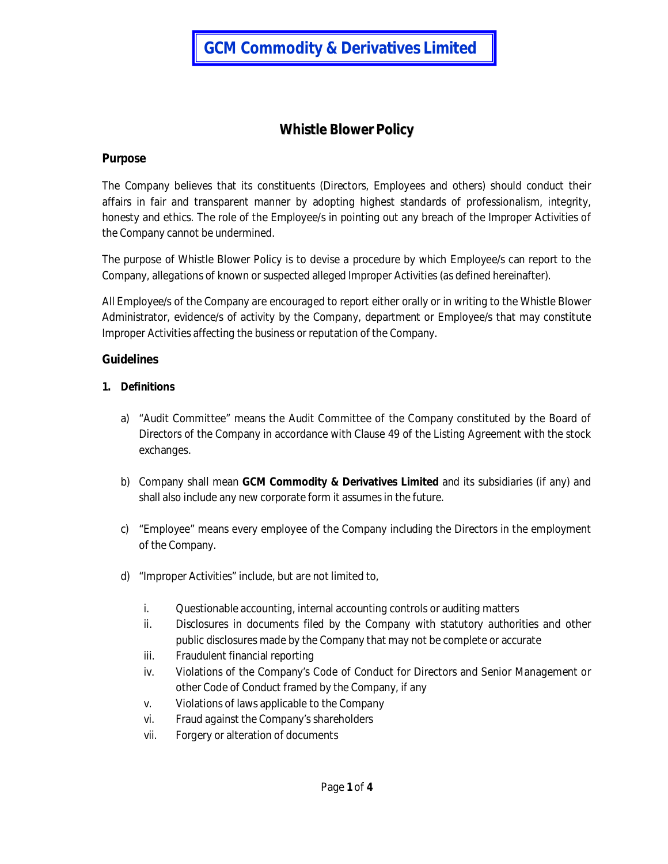# **Whistle Blower Policy**

## **Purpose**

The Company believes that its constituents (Directors, Employees and others) should conduct their affairs in fair and transparent manner by adopting highest standards of professionalism, integrity, honesty and ethics. The role of the Employee/s in pointing out any breach of the Improper Activities of the Company cannot be undermined.

The purpose of Whistle Blower Policy is to devise a procedure by which Employee/s can report to the Company, allegations of known or suspected alleged Improper Activities (as defined hereinafter).

All Employee/s of the Company are encouraged to report either orally or in writing to the Whistle Blower Administrator, evidence/s of activity by the Company, department or Employee/s that may constitute Improper Activities affecting the business or reputation of the Company.

## **Guidelines**

## **1. Definitions**

- a) "Audit Committee" means the Audit Committee of the Company constituted by the Board of Directors of the Company in accordance with Clause 49 of the Listing Agreement with the stock exchanges.
- b) Company shall mean **GCM Commodity & Derivatives Limited** and its subsidiaries (if any) and shall also include any new corporate form it assumes in the future.
- c) "Employee" means every employee of the Company including the Directors in the employment of the Company.
- d) "Improper Activities" include, but are not limited to,
	- i. Questionable accounting, internal accounting controls or auditing matters
	- ii. Disclosures in documents filed by the Company with statutory authorities and other public disclosures made by the Company that may not be complete or accurate
	- iii. Fraudulent financial reporting
	- iv. Violations of the Company's Code of Conduct for Directors and Senior Management or other Code of Conduct framed by the Company, if any
	- v. Violations of laws applicable to the Company
	- vi. Fraud against the Company's shareholders
	- vii. Forgery or alteration of documents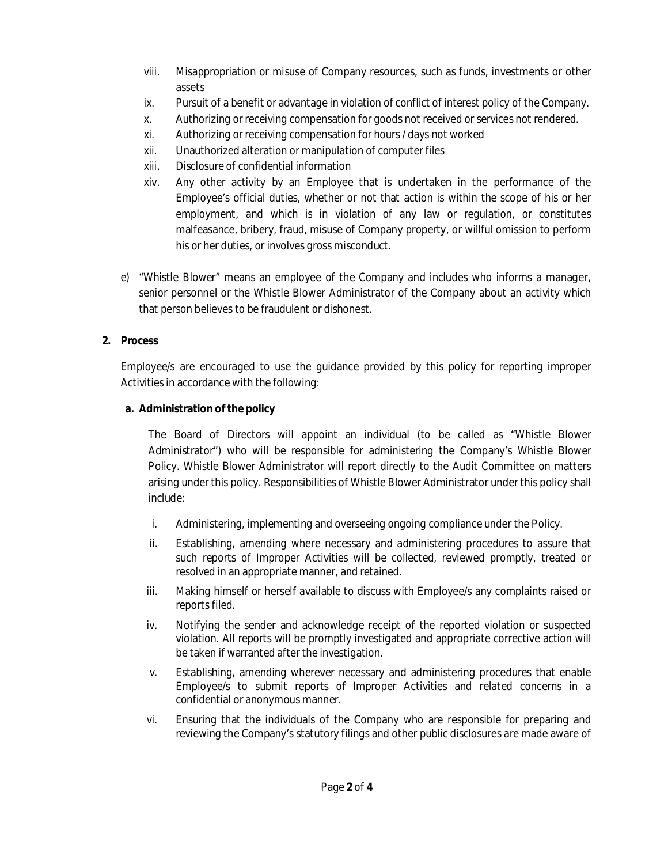- viii. Misappropriation or misuse of Company resources, such as funds, investments or other assets
- ix. Pursuit of a benefit or advantage in violation of conflict of interest policy of the Company.
- x. Authorizing or receiving compensation for goods not received or services not rendered.
- xi. Authorizing or receiving compensation for hours / days not worked
- xii. Unauthorized alteration or manipulation of computer files
- xiii. Disclosure of confidential information
- xiv. Any other activity by an Employee that is undertaken in the performance of the Employee's official duties, whether or not that action is within the scope of his or her employment, and which is in violation of any law or regulation, or constitutes malfeasance, bribery, fraud, misuse of Company property, or willful omission to perform his or her duties, or involves gross misconduct.
- e) "Whistle Blower" means an employee of the Company and includes who informs a manager, senior personnel or the Whistle Blower Administrator of the Company about an activity which that person believes to be fraudulent or dishonest.

# **2. Process**

Employee/s are encouraged to use the guidance provided by this policy for reporting improper Activities in accordance with the following:

# **a. Administration of the policy**

The Board of Directors will appoint an individual (to be called as "Whistle Blower Administrator") who will be responsible for administering the Company's Whistle Blower Policy. Whistle Blower Administrator will report directly to the Audit Committee on matters arising under this policy. Responsibilities of Whistle Blower Administrator under this policy shall include:

- i. Administering, implementing and overseeing ongoing compliance under the Policy.
- ii. Establishing, amending where necessary and administering procedures to assure that such reports of Improper Activities will be collected, reviewed promptly, treated or resolved in an appropriate manner, and retained.
- iii. Making himself or herself available to discuss with Employee/s any complaints raised or reports filed.
- iv. Notifying the sender and acknowledge receipt of the reported violation or suspected violation. All reports will be promptly investigated and appropriate corrective action will be taken if warranted after the investigation.
- v. Establishing, amending wherever necessary and administering procedures that enable Employee/s to submit reports of Improper Activities and related concerns in a confidential or anonymous manner.
- vi. Ensuring that the individuals of the Company who are responsible for preparing and reviewing the Company's statutory filings and other public disclosures are made aware of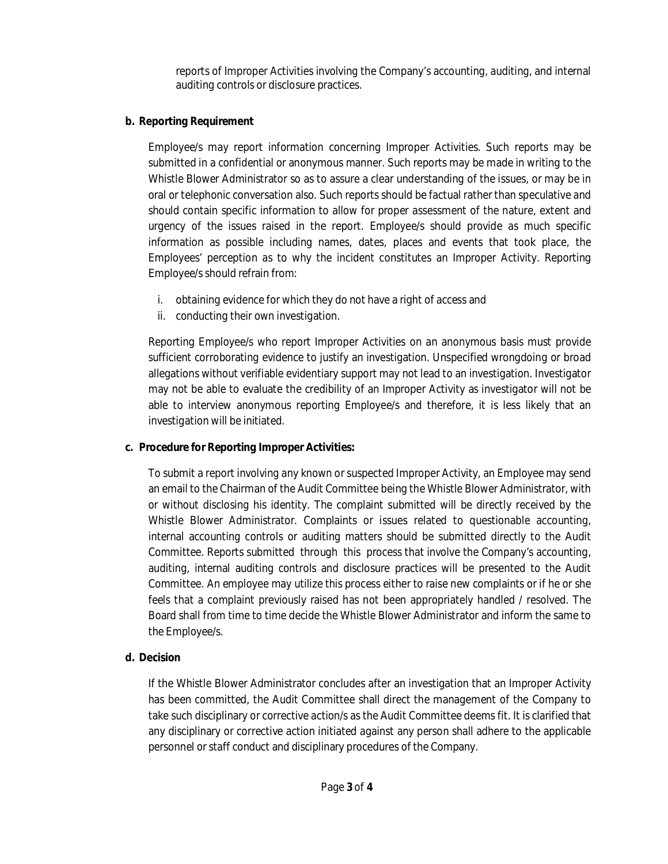reports of Improper Activities involving the Company's accounting, auditing, and internal auditing controls or disclosure practices.

#### **b. Reporting Requirement**

Employee/s may report information concerning Improper Activities. Such reports may be submitted in a confidential or anonymous manner. Such reports may be made in writing to the Whistle Blower Administrator so as to assure a clear understanding of the issues, or may be in oral or telephonic conversation also. Such reports should be factual rather than speculative and should contain specific information to allow for proper assessment of the nature, extent and urgency of the issues raised in the report. Employee/s should provide as much specific information as possible including names, dates, places and events that took place, the Employees' perception as to why the incident constitutes an Improper Activity. Reporting Employee/s should refrain from:

- i. obtaining evidence for which they do not have a right of access and
- ii. conducting their own investigation.

Reporting Employee/s who report Improper Activities on an anonymous basis must provide sufficient corroborating evidence to justify an investigation. Unspecified wrongdoing or broad allegations without verifiable evidentiary support may not lead to an investigation. Investigator may not be able to evaluate the credibility of an Improper Activity as investigator will not be able to interview anonymous reporting Employee/s and therefore, it is less likely that an investigation will be initiated.

#### **c. Procedure for Reporting Improper Activities:**

To submit a report involving any known or suspected Improper Activity, an Employee may send an email to the Chairman of the Audit Committee being the Whistle Blower Administrator, with or without disclosing his identity. The complaint submitted will be directly received by the Whistle Blower Administrator. Complaints or issues related to questionable accounting, internal accounting controls or auditing matters should be submitted directly to the Audit Committee. Reports submitted through this process that involve the Company's accounting, auditing, internal auditing controls and disclosure practices will be presented to the Audit Committee. An employee may utilize this process either to raise new complaints or if he or she feels that a complaint previously raised has not been appropriately handled / resolved. The Board shall from time to time decide the Whistle Blower Administrator and inform the same to the Employee/s.

# **d. Decision**

If the Whistle Blower Administrator concludes after an investigation that an Improper Activity has been committed, the Audit Committee shall direct the management of the Company to take such disciplinary or corrective action/s as the Audit Committee deems fit. It is clarified that any disciplinary or corrective action initiated against any person shall adhere to the applicable personnel or staff conduct and disciplinary procedures of the Company.